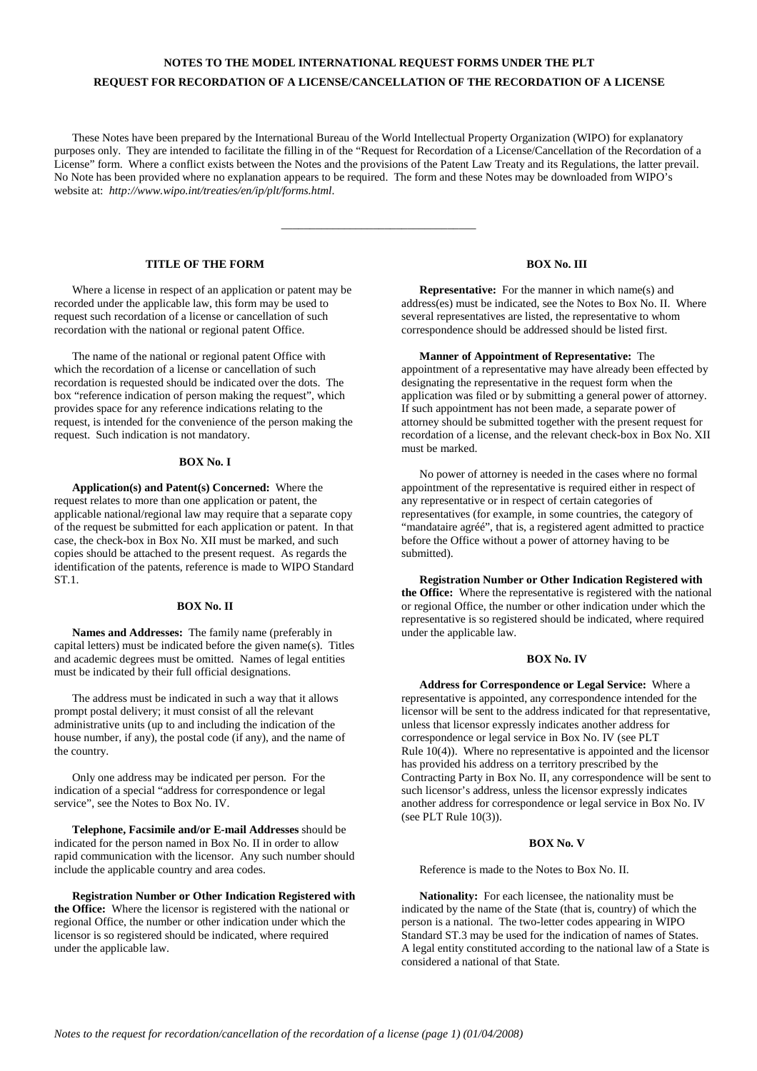# **NOTES TO THE MODEL INTERNATIONAL REQUEST FORMS UNDER THE PLT REQUEST FOR RECORDATION OF A LICENSE/CANCELLATION OF THE RECORDATION OF A LICENSE**

These Notes have been prepared by the International Bureau of the World Intellectual Property Organization (WIPO) for explanatory purposes only. They are intended to facilitate the filling in of the "Request for Recordation of a License/Cancellation of the Recordation of a License" form. Where a conflict exists between the Notes and the provisions of the Patent Law Treaty and its Regulations, the latter prevail. No Note has been provided where no explanation appears to be required. The form and these Notes may be downloaded from WIPO's website at: *http://www.wipo.int/treaties/en/ip/plt/forms.html*.

\_\_\_\_\_\_\_\_\_\_\_\_\_\_\_\_\_\_\_\_\_\_\_\_\_\_\_\_\_\_\_\_\_\_

# **TITLE OF THE FORM**

Where a license in respect of an application or patent may be recorded under the applicable law, this form may be used to request such recordation of a license or cancellation of such recordation with the national or regional patent Office.

The name of the national or regional patent Office with which the recordation of a license or cancellation of such recordation is requested should be indicated over the dots. The box "reference indication of person making the request", which provides space for any reference indications relating to the request, is intended for the convenience of the person making the request. Such indication is not mandatory.

### **BOX No. I**

**Application(s) and Patent(s) Concerned:** Where the request relates to more than one application or patent, the applicable national/regional law may require that a separate copy of the request be submitted for each application or patent. In that case, the check-box in Box No. XII must be marked, and such copies should be attached to the present request. As regards the identification of the patents, reference is made to WIPO Standard **ST1** 

#### **BOX No. II**

**Names and Addresses:** The family name (preferably in capital letters) must be indicated before the given name(s). Titles and academic degrees must be omitted. Names of legal entities must be indicated by their full official designations.

The address must be indicated in such a way that it allows prompt postal delivery; it must consist of all the relevant administrative units (up to and including the indication of the house number, if any), the postal code (if any), and the name of the country.

Only one address may be indicated per person. For the indication of a special "address for correspondence or legal service", see the Notes to Box No. IV.

**Telephone, Facsimile and/or E-mail Addresses** should be indicated for the person named in Box No. II in order to allow rapid communication with the licensor. Any such number should include the applicable country and area codes.

**Registration Number or Other Indication Registered with the Office:** Where the licensor is registered with the national or regional Office, the number or other indication under which the licensor is so registered should be indicated, where required under the applicable law.

### **BOX No. III**

**Representative:** For the manner in which name(s) and address(es) must be indicated, see the Notes to Box No. II. Where several representatives are listed, the representative to whom correspondence should be addressed should be listed first.

#### **Manner of Appointment of Representative:** The

appointment of a representative may have already been effected by designating the representative in the request form when the application was filed or by submitting a general power of attorney. If such appointment has not been made, a separate power of attorney should be submitted together with the present request for recordation of a license, and the relevant check-box in Box No. XII must be marked.

No power of attorney is needed in the cases where no formal appointment of the representative is required either in respect of any representative or in respect of certain categories of representatives (for example, in some countries, the category of "mandataire agréé", that is, a registered agent admitted to practice before the Office without a power of attorney having to be submitted).

**Registration Number or Other Indication Registered with the Office:** Where the representative is registered with the national or regional Office, the number or other indication under which the representative is so registered should be indicated, where required under the applicable law.

### **BOX No. IV**

**Address for Correspondence or Legal Service:** Where a representative is appointed, any correspondence intended for the licensor will be sent to the address indicated for that representative, unless that licensor expressly indicates another address for correspondence or legal service in Box No. IV (see PLT Rule 10(4)). Where no representative is appointed and the licensor has provided his address on a territory prescribed by the Contracting Party in Box No. II, any correspondence will be sent to such licensor's address, unless the licensor expressly indicates another address for correspondence or legal service in Box No. IV (see PLT Rule 10(3)).

### **BOX No. V**

Reference is made to the Notes to Box No. II.

**Nationality:** For each licensee, the nationality must be indicated by the name of the State (that is, country) of which the person is a national. The two-letter codes appearing in WIPO Standard ST.3 may be used for the indication of names of States. A legal entity constituted according to the national law of a State is considered a national of that State.